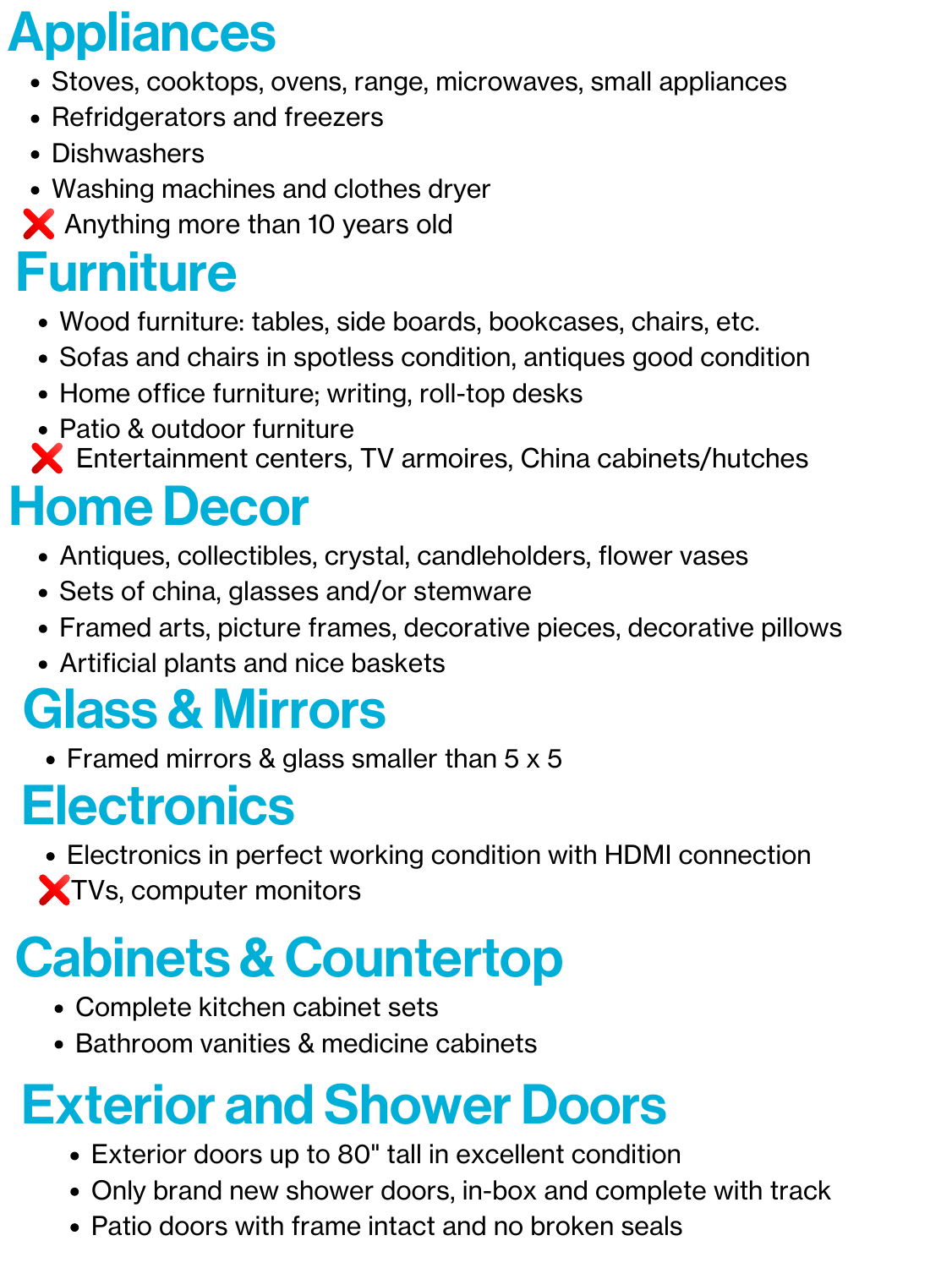# Appliances

- Stoves, cooktops, ovens, range, microwaves, small appliances
- Refridgerators and freezers
- Dishwashers
- Washing machines and clothes dryer
- X Anything more than 10 years old

#### Furniture

### Glass & Mirrors

• Framed mirrors & glass smaller than 5 x 5

#### **Electronics**

- Wood furniture: tables, side boards, bookcases, chairs, etc.
- Sofas and chairs in spotless condition, antiques good condition
- Home office furniture; writing, roll-top desks
- Patio & outdoor furniture
- Entertainment centers, TV armoires, China cabinets/hutches

# Home Decor

Electronics in perfect working condition with HDMI connection XTVs, computer monitors

### **Cabinets & Countertop**

- Complete kitchen cabinet sets
- Bathroom vanities & medicine cabinets

- Exterior doors up to 80" tall in excellent condition
- Only brand new shower doors, in-box and complete with track
- Patio doors with frame intact and no broken seals
- Antiques, collectibles, crystal, candleholders, flower vases
- Sets of china, glasses and/or stemware
- Framed arts, picture frames, decorative pieces, decorative pillows Artificial plants and nice baskets

### Exterior and Shower Doors